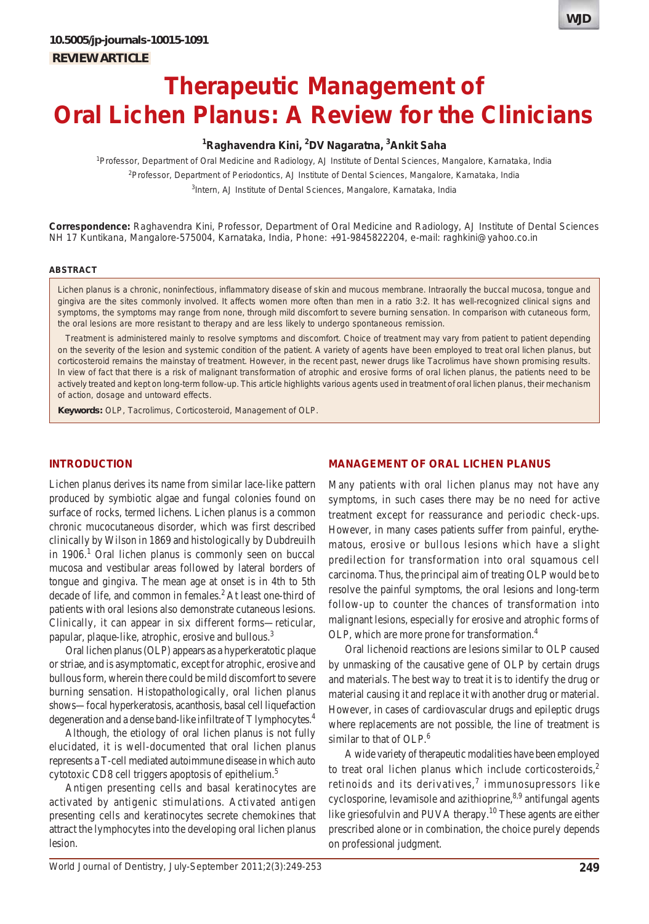# **Therapeutic Management of Oral Lichen Planus: A Review for the Clinicians**

# **1 Raghavendra Kini, 2 DV Nagaratna, 3 Ankit Saha**

1 Professor, Department of Oral Medicine and Radiology, AJ Institute of Dental Sciences, Mangalore, Karnataka, India 2 Professor, Department of Periodontics, AJ Institute of Dental Sciences, Mangalore, Karnataka, India <sup>3</sup>Intern, AJ Institute of Dental Sciences, Mangalore, Karnataka, India

**Correspondence:** Raghavendra Kini, Professor, Department of Oral Medicine and Radiology, AJ Institute of Dental Sciences NH 17 Kuntikana, Mangalore-575004, Karnataka, India, Phone: +91-9845822204, e-mail: raghkini@yahoo.co.in

#### **ABSTRACT**

Lichen planus is a chronic, noninfectious, inflammatory disease of skin and mucous membrane. Intraorally the buccal mucosa, tongue and gingiva are the sites commonly involved. It affects women more often than men in a ratio 3:2. It has well-recognized clinical signs and symptoms, the symptoms may range from none, through mild discomfort to severe burning sensation. In comparison with cutaneous form, the oral lesions are more resistant to therapy and are less likely to undergo spontaneous remission.

Treatment is administered mainly to resolve symptoms and discomfort. Choice of treatment may vary from patient to patient depending on the severity of the lesion and systemic condition of the patient. A variety of agents have been employed to treat oral lichen planus, but corticosteroid remains the mainstay of treatment. However, in the recent past, newer drugs like Tacrolimus have shown promising results. In view of fact that there is a risk of malignant transformation of atrophic and erosive forms of oral lichen planus, the patients need to be actively treated and kept on long-term follow-up. This article highlights various agents used in treatment of oral lichen planus, their mechanism of action, dosage and untoward effects.

**Keywords:** OLP, Tacrolimus, Corticosteroid, Management of OLP.

## **INTRODUCTION**

Lichen planus derives its name from similar lace-like pattern produced by symbiotic algae and fungal colonies found on surface of rocks, termed lichens. Lichen planus is a common chronic mucocutaneous disorder, which was first described clinically by Wilson in 1869 and histologically by Dubdreuilh in  $1906$ .<sup>1</sup> Oral lichen planus is commonly seen on buccal mucosa and vestibular areas followed by lateral borders of tongue and gingiva. The mean age at onset is in 4th to 5th decade of life, and common in females.<sup>2</sup> At least one-third of patients with oral lesions also demonstrate cutaneous lesions. Clinically, it can appear in six different forms—reticular, papular, plaque-like, atrophic, erosive and bullous.3

Oral lichen planus (OLP) appears as a hyperkeratotic plaque or striae, and is asymptomatic, except for atrophic, erosive and bullous form, wherein there could be mild discomfort to severe burning sensation. Histopathologically, oral lichen planus shows—focal hyperkeratosis, acanthosis, basal cell liquefaction degeneration and a dense band-like infiltrate of T lymphocytes.4

Although, the etiology of oral lichen planus is not fully elucidated, it is well-documented that oral lichen planus represents a T-cell mediated autoimmune disease in which auto cytotoxic CD8 cell triggers apoptosis of epithelium.<sup>5</sup>

Antigen presenting cells and basal keratinocytes are activated by antigenic stimulations. Activated antigen presenting cells and keratinocytes secrete chemokines that attract the lymphocytes into the developing oral lichen planus lesion.

#### **MANAGEMENT OF ORAL LICHEN PLANUS**

Many patients with oral lichen planus may not have any symptoms, in such cases there may be no need for active treatment except for reassurance and periodic check-ups. However, in many cases patients suffer from painful, erythematous, erosive or bullous lesions which have a slight predilection for transformation into oral squamous cell carcinoma. Thus, the principal aim of treating OLP would be to resolve the painful symptoms, the oral lesions and long-term follow-up to counter the chances of transformation into malignant lesions, especially for erosive and atrophic forms of OLP, which are more prone for transformation.4

Oral lichenoid reactions are lesions similar to OLP caused by unmasking of the causative gene of OLP by certain drugs and materials. The best way to treat it is to identify the drug or material causing it and replace it with another drug or material. However, in cases of cardiovascular drugs and epileptic drugs where replacements are not possible, the line of treatment is similar to that of OLP.<sup>6</sup>

A wide variety of therapeutic modalities have been employed to treat oral lichen planus which include corticosteroids, $<sup>2</sup>$ </sup> retinoids and its derivatives,<sup>7</sup> immunosupressors like cyclosporine, levamisole and azithioprine,  $8,9$  antifungal agents like griesofulvin and PUVA therapy.<sup>10</sup> These agents are either prescribed alone or in combination, the choice purely depends on professional judgment.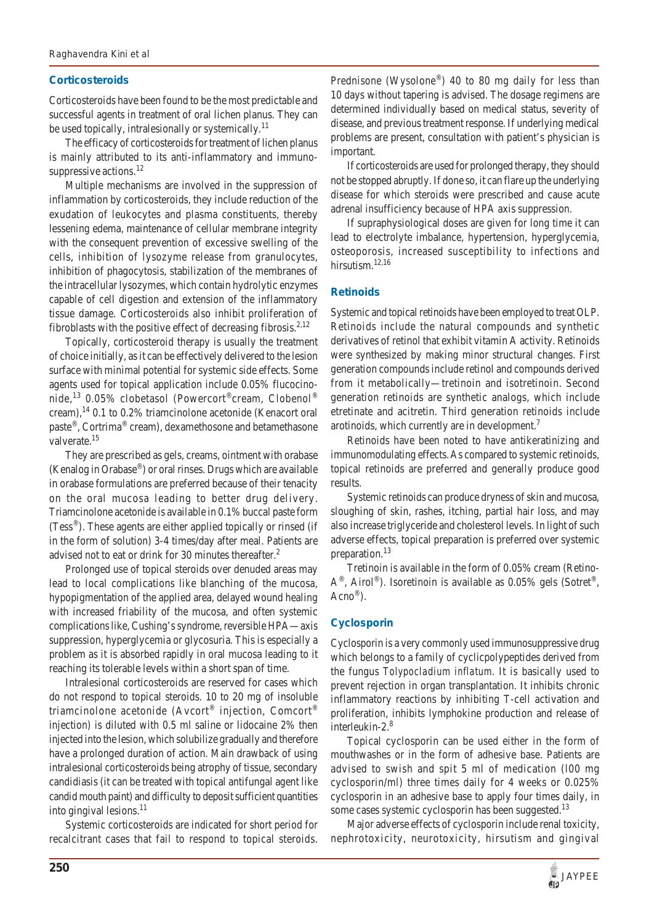# **Corticosteroids**

Corticosteroids have been found to be the most predictable and successful agents in treatment of oral lichen planus. They can be used topically, intralesionally or systemically.<sup>11</sup>

The efficacy of corticosteroids for treatment of lichen planus is mainly attributed to its anti-inflammatory and immunosuppressive actions.<sup>12</sup>

Multiple mechanisms are involved in the suppression of inflammation by corticosteroids, they include reduction of the exudation of leukocytes and plasma constituents, thereby lessening edema, maintenance of cellular membrane integrity with the consequent prevention of excessive swelling of the cells, inhibition of lysozyme release from granulocytes, inhibition of phagocytosis, stabilization of the membranes of the intracellular lysozymes, which contain hydrolytic enzymes capable of cell digestion and extension of the inflammatory tissue damage. Corticosteroids also inhibit proliferation of fibroblasts with the positive effect of decreasing fibrosis.<sup>2,12</sup>

Topically, corticosteroid therapy is usually the treatment of choice initially, as it can be effectively delivered to the lesion surface with minimal potential for systemic side effects. Some agents used for topical application include 0.05% flucocinonide,<sup>13</sup> 0.05% clobetasol (Powercort<sup>®</sup>cream, Clobenol<sup>®</sup> cream), $^{14}$  0.1 to 0.2% triamcinolone acetonide (Kenacort oral paste®, Cortrima® cream), dexamethosone and betamethasone valverate.<sup>15</sup>

They are prescribed as gels, creams, ointment with orabase (Kenalog in Orabase®) or oral rinses. Drugs which are available in orabase formulations are preferred because of their tenacity on the oral mucosa leading to better drug delivery. Triamcinolone acetonide is available in 0.1% buccal paste form (Tess®). These agents are either applied topically or rinsed (if in the form of solution) 3-4 times/day after meal. Patients are advised not to eat or drink for 30 minutes thereafter.<sup>2</sup>

Prolonged use of topical steroids over denuded areas may lead to local complications like blanching of the mucosa, hypopigmentation of the applied area, delayed wound healing with increased friability of the mucosa, and often systemic complications like, Cushing's syndrome, reversible HPA—axis suppression, hyperglycemia or glycosuria. This is especially a problem as it is absorbed rapidly in oral mucosa leading to it reaching its tolerable levels within a short span of time.

Intralesional corticosteroids are reserved for cases which do not respond to topical steroids. 10 to 20 mg of insoluble triamcinolone acetonide (Avcort® injection, Comcort® injection) is diluted with 0.5 ml saline or lidocaine 2% then injected into the lesion, which solubilize gradually and therefore have a prolonged duration of action. Main drawback of using intralesional corticosteroids being atrophy of tissue, secondary candidiasis (it can be treated with topical antifungal agent like candid mouth paint) and difficulty to deposit sufficient quantities into gingival lesions. $^{11}$ 

Systemic corticosteroids are indicated for short period for recalcitrant cases that fail to respond to topical steroids.

Prednisone (Wysolone®) 40 to 80 mg daily for less than 10 days without tapering is advised. The dosage regimens are determined individually based on medical status, severity of disease, and previous treatment response. If underlying medical problems are present, consultation with patient's physician is important.

If corticosteroids are used for prolonged therapy, they should not be stopped abruptly. If done so, it can flare up the underlying disease for which steroids were prescribed and cause acute adrenal insufficiency because of HPA axis suppression.

If supraphysiological doses are given for long time it can lead to electrolyte imbalance, hypertension, hyperglycemia, osteoporosis, increased susceptibility to infections and hirsutism.<sup>12,16</sup>

## **Retinoids**

Systemic and topical retinoids have been employed to treat OLP. Retinoids include the natural compounds and synthetic derivatives of retinol that exhibit vitamin A activity. Retinoids were synthesized by making minor structural changes. First generation compounds include retinol and compounds derived from it metabolically—tretinoin and isotretinoin. Second generation retinoids are synthetic analogs, which include etretinate and acitretin. Third generation retinoids include arotinoids, which currently are in development.<sup>7</sup>

Retinoids have been noted to have antikeratinizing and immunomodulating effects.As compared to systemic retinoids, topical retinoids are preferred and generally produce good results.

Systemic retinoids can produce dryness of skin and mucosa, sloughing of skin, rashes, itching, partial hair loss, and may also increase triglyceride and cholesterol levels. In light of such adverse effects, topical preparation is preferred over systemic preparation.<sup>13</sup>

Tretinoin is available in the form of 0.05% cream (Retino- $A^{\circledast}$ , Airol<sup>®</sup>). Isoretinoin is available as 0.05% gels (Sotret<sup>®</sup>, Acno®).

# **Cyclosporin**

Cyclosporin is a very commonly used immunosuppressive drug which belongs to a family of cyclicpolypeptides derived from the fungus *Tolypocladium inflatum*. It is basically used to prevent rejection in organ transplantation. It inhibits chronic inflammatory reactions by inhibiting T-cell activation and proliferation, inhibits lymphokine production and release of interleukin-2.8

Topical cyclosporin can be used either in the form of mouthwashes or in the form of adhesive base. Patients are advised to swish and spit 5 ml of medication (l00 mg cyclosporin/ml) three times daily for 4 weeks or 0.025% cyclosporin in an adhesive base to apply four times daily, in some cases systemic cyclosporin has been suggested.<sup>13</sup>

Major adverse effects of cyclosporin include renal toxicity, nephrotoxicity, neurotoxicity, hirsutism and gingival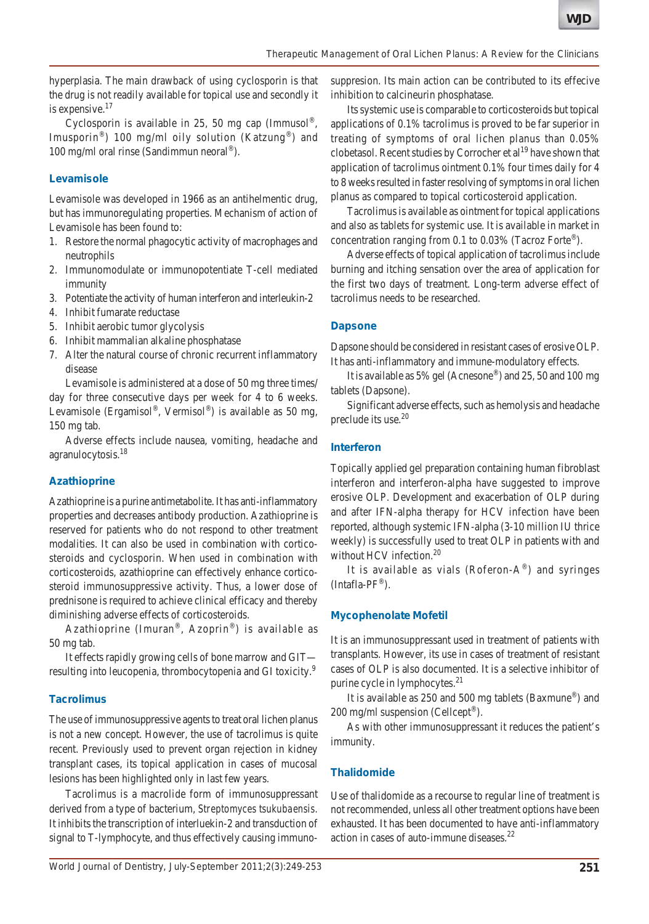hyperplasia. The main drawback of using cyclosporin is that the drug is not readily available for topical use and secondly it is expensive.17

Cyclosporin is available in 25, 50 mg cap (Immusol<sup>®</sup>, Imusporin<sup>®</sup>) 100 mg/ml oily solution (Katzung<sup>®</sup>) and 100 mg/ml oral rinse (Sandimmun neoral®).

## **Levamisole**

Levamisole was developed in 1966 as an antihelmentic drug, but has immunoregulating properties. Mechanism of action of Levamisole has been found to:

- 1. Restore the normal phagocytic activity of macrophages and neutrophils
- 2. Immunomodulate or immunopotentiate T-cell mediated immunity
- 3. Potentiate the activity of human interferon and interleukin-2
- 4. Inhibit fumarate reductase
- 5. Inhibit aerobic tumor glycolysis
- 6. Inhibit mammalian alkaline phosphatase
- 7. Alter the natural course of chronic recurrent inflammatory disease

Levamisole is administered at a dose of 50 mg three times/ day for three consecutive days per week for 4 to 6 weeks. Levamisole (Ergamisol®, Vermisol®) is available as 50 mg, 150 mg tab.

Adverse effects include nausea, vomiting, headache and agranulocytosis.18

#### **Azathioprine**

Azathioprine is a purine antimetabolite. It has anti-inflammatory properties and decreases antibody production. Azathioprine is reserved for patients who do not respond to other treatment modalities. It can also be used in combination with corticosteroids and cyclosporin. When used in combination with corticosteroids, azathioprine can effectively enhance corticosteroid immunosuppressive activity. Thus, a lower dose of prednisone is required to achieve clinical efficacy and thereby diminishing adverse effects of corticosteroids.

Azathioprine (Imuran®, Azoprin®) is available as 50 mg tab.

It effects rapidly growing cells of bone marrow and GIT resulting into leucopenia, thrombocytopenia and GI toxicity.<sup>9</sup>

# **Tacrolimus**

The use of immunosuppressive agents to treat oral lichen planus is not a new concept. However, the use of tacrolimus is quite recent. Previously used to prevent organ rejection in kidney transplant cases, its topical application in cases of mucosal lesions has been highlighted only in last few years.

Tacrolimus is a macrolide form of immunosuppressant derived from a type of bacterium, *Streptomyces tsukubaensis.* It inhibits the transcription of interluekin-2 and transduction of signal to T-lymphocyte, and thus effectively causing immunosuppresion. Its main action can be contributed to its effecive inhibition to calcineurin phosphatase.

Its systemic use is comparable to corticosteroids but topical applications of 0.1% tacrolimus is proved to be far superior in treating of symptoms of oral lichen planus than 0.05% clobetasol. Recent studies by Corrocher et  $al<sup>19</sup>$  have shown that application of tacrolimus ointment 0.1% four times daily for 4 to 8 weeks resulted in faster resolving of symptoms in oral lichen planus as compared to topical corticosteroid application.

Tacrolimus is available as ointment for topical applications and also as tablets for systemic use. It is available in market in concentration ranging from 0.1 to 0.03% (Tacroz Forte®).

Adverse effects of topical application of tacrolimus include burning and itching sensation over the area of application for the first two days of treatment. Long-term adverse effect of tacrolimus needs to be researched.

#### **Dapsone**

Dapsone should be considered in resistant cases of erosive OLP. It has anti-inflammatory and immune-modulatory effects.

It is available as 5% gel (Acnesone®) and 25, 50 and 100 mg tablets (Dapsone).

Significant adverse effects, such as hemolysis and headache preclude its use.20

#### **Interferon**

Topically applied gel preparation containing human fibroblast interferon and interferon-alpha have suggested to improve erosive OLP. Development and exacerbation of OLP during and after IFN-alpha therapy for HCV infection have been reported, although systemic IFN-alpha (3-10 million IU thrice weekly) is successfully used to treat OLP in patients with and without HCV infection.<sup>20</sup>

It is available as vials (Roferon- $A^{\circledast}$ ) and syringes (Intafla-PF®).

# **Mycophenolate Mofetil**

It is an immunosuppressant used in treatment of patients with transplants. However, its use in cases of treatment of resistant cases of OLP is also documented. It is a selective inhibitor of purine cycle in lymphocytes.21

It is available as 250 and 500 mg tablets (Baxmune®) and 200 mg/ml suspension (Cellcept®).

As with other immunosuppressant it reduces the patient's immunity.

# **Thalidomide**

Use of thalidomide as a recourse to regular line of treatment is not recommended, unless all other treatment options have been exhausted. It has been documented to have anti-inflammatory action in cases of auto-immune diseases.22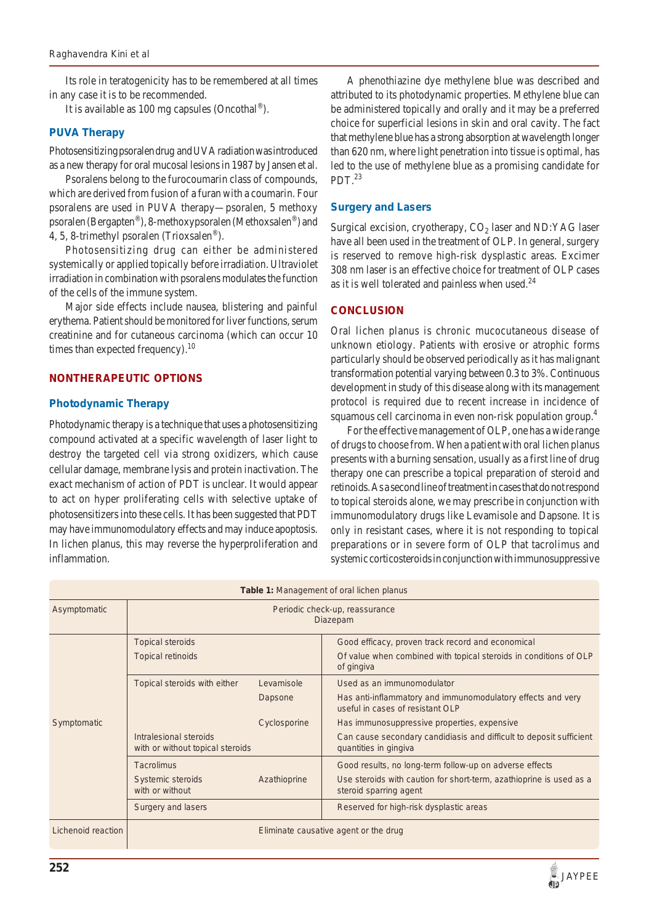Its role in teratogenicity has to be remembered at all times in any case it is to be recommended.

It is available as 100 mg capsules (Oncothal®).

#### **PUVA Therapy**

Photosensitizing psoralen drug and UVA radiation was introduced as a new therapy for oral mucosal lesions in 1987 by Jansen et al.

Psoralens belong to the furocoumarin class of compounds, which are derived from fusion of a furan with a coumarin. Four psoralens are used in PUVA therapy—psoralen, 5 methoxy psoralen (Bergapten®), 8-methoxypsoralen (Methoxsalen®) and 4, 5, 8-trimethyl psoralen (Trioxsalen®).

Photosensitizing drug can either be administered systemically or applied topically before irradiation. Ultraviolet irradiation in combination with psoralens modulates the function of the cells of the immune system.

Major side effects include nausea, blistering and painful erythema. Patient should be monitored for liver functions, serum creatinine and for cutaneous carcinoma (which can occur 10 times than expected frequency).<sup>10</sup>

#### **NONTHERAPEUTIC OPTIONS**

#### **Photodynamic Therapy**

Photodynamic therapy is a technique that uses a photosensitizing compound activated at a specific wavelength of laser light to destroy the targeted cell via strong oxidizers, which cause cellular damage, membrane lysis and protein inactivation. The exact mechanism of action of PDT is unclear. It would appear to act on hyper proliferating cells with selective uptake of photosensitizers into these cells. It has been suggested that PDT may have immunomodulatory effects and may induce apoptosis. In lichen planus, this may reverse the hyperproliferation and inflammation.

A phenothiazine dye methylene blue was described and attributed to its photodynamic properties. Methylene blue can be administered topically and orally and it may be a preferred choice for superficial lesions in skin and oral cavity. The fact that methylene blue has a strong absorption at wavelength longer than 620 nm, where light penetration into tissue is optimal, has led to the use of methylene blue as a promising candidate for PDT. $^{23}$ 

#### **Surgery and Lasers**

Surgical excision, cryotherapy,  $CO<sub>2</sub>$  laser and ND:YAG laser have all been used in the treatment of OLP. In general, surgery is reserved to remove high-risk dysplastic areas. Excimer 308 nm laser is an effective choice for treatment of OLP cases as it is well tolerated and painless when used. $^{24}$ 

#### **CONCLUSION**

Oral lichen planus is chronic mucocutaneous disease of unknown etiology. Patients with erosive or atrophic forms particularly should be observed periodically as it has malignant transformation potential varying between 0.3 to 3%. Continuous development in study of this disease along with its management protocol is required due to recent increase in incidence of squamous cell carcinoma in even non-risk population group.<sup>4</sup>

For the effective management of OLP, one has a wide range of drugs to choose from. When a patient with oral lichen planus presents with a burning sensation, usually as a first line of drug therapy one can prescribe a topical preparation of steroid and retinoids. As a second line of treatment in cases that do not respond to topical steroids alone, we may prescribe in conjunction with immunomodulatory drugs like Levamisole and Dapsone. It is only in resistant cases, where it is not responding to topical preparations or in severe form of OLP that tacrolimus and systemic corticosteroids in conjunction with immunosuppressive

| Table 1: Management of oral lichen planus |                                                            |              |                                                                                                 |
|-------------------------------------------|------------------------------------------------------------|--------------|-------------------------------------------------------------------------------------------------|
| Asymptomatic                              | Periodic check-up, reassurance<br>Diazepam                 |              |                                                                                                 |
|                                           | <b>Topical steroids</b>                                    |              | Good efficacy, proven track record and economical                                               |
| Symptomatic                               | <b>Topical retinoids</b>                                   |              | Of value when combined with topical steroids in conditions of OLP<br>of gingiva                 |
|                                           | Topical steroids with either                               | Levamisole   | Used as an immunomodulator                                                                      |
|                                           |                                                            | Dapsone      | Has anti-inflammatory and immunomodulatory effects and very<br>useful in cases of resistant OLP |
|                                           |                                                            | Cyclosporine | Has immunosuppressive properties, expensive                                                     |
|                                           | Intralesional steroids<br>with or without topical steroids |              | Can cause secondary candidiasis and difficult to deposit sufficient<br>quantities in gingiva    |
|                                           | <b>Tacrolimus</b>                                          |              | Good results, no long-term follow-up on adverse effects                                         |
|                                           | Systemic steroids<br>with or without                       | Azathioprine | Use steroids with caution for short-term, azathioprine is used as a<br>steroid sparring agent   |
|                                           | Surgery and lasers                                         |              | Reserved for high-risk dysplastic areas                                                         |
| Lichenoid reaction                        | Eliminate causative agent or the drug                      |              |                                                                                                 |